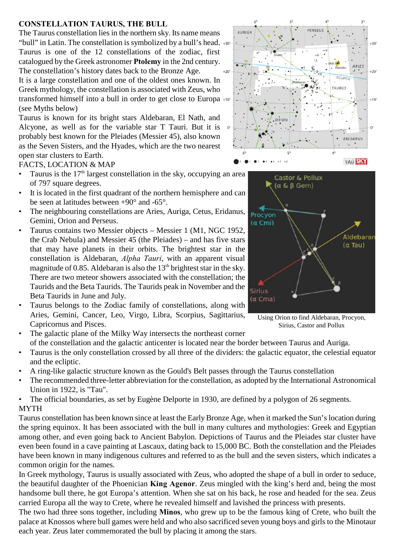## **CONSTELLATION TAURUS, THE BULL**

The Taurus constellation lies in the northern sky. Its name means "bull" in Latin. The constellation is symbolized by a bull's head.  $*$ Taurus is one of the 12 constellations of the zodiac, first catalogued by the Greek astronomer **Ptolemy** in the 2nd century. The constellation's history dates back to the Bronze Age.

It is a large constellation and one of the oldest ones known. In Greek mythology, the constellation is associated with Zeus, who transformed himself into a bull in order to get close to Europa (see Myths below)

Taurus is known for its bright stars Aldebaran, El Nath, and Alcyone, as well as for the variable star T Tauri. But it is probably best known for the Pleiades (Messier 45), also known as the Seven Sisters, and the Hyades, which are the two nearest open star clusters to Earth.

FACTS, LOCATION & MAP

- Taurus is the  $17<sup>th</sup>$  largest constellation in the sky, occupying an area of 797 square degrees.
- It is located in the first quadrant of the northern hemisphere and can be seen at latitudes between +90° and -65°.
- The neighbouring constellations are Aries, Auriga, Cetus, Eridanus, Gemini, Orion and Perseus.
- Taurus contains two Messier objects Messier 1 (M1, NGC 1952, the Crab Nebula) and Messier 45 (the Pleiades) – and has five stars that may have planets in their orbits. The brightest star in the constellation is Aldebaran, *Alpha Tauri*, with an apparent visual magnitude of 0.85. Aldebaran is also the  $13<sup>th</sup>$  brightest star in the sky. There are two meteor showers associated with the constellation; the Taurids and the Beta Taurids. The Taurids peak in November and the Beta Taurids in June and July.
- Taurus belongs to the Zodiac family of constellations, along with Aries, Gemini, Cancer, Leo, Virgo, Libra, Scorpius, Sagittarius, Capricornus and Pisces.





Using Orion to find Aldebaran, Procyon, Sirius, Castor and Pollux

- The galactic plane of the Milky Way intersects the northeast corner of the constellation and the galactic anticenter is located near the border between Taurus and Auriga.
- Taurus is the only constellation crossed by all three of the dividers: the galactic equator, the celestial equator and the ecliptic.
- A ring-like galactic structure known as the Gould's Belt passes through the Taurus constellation
- The recommended three-letter abbreviation for the constellation, as adopted by the International Astronomical Union in 1922, is "Tau".
- The official boundaries, as set by Eugène Delporte in 1930, are defined by a polygon of 26 segments. MYTH

Taurus constellation has been known since at least the Early Bronze Age, when it marked the Sun's location during the spring equinox. It has been associated with the bull in many cultures and mythologies: Greek and Egyptian among other, and even going back to Ancient Babylon. Depictions of Taurus and the Pleiades star cluster have even been found in a cave painting at Lascaux, dating back to 15,000 BC. Both the constellation and the Pleiades have been known in many indigenous cultures and referred to as the bull and the seven sisters, which indicates a common origin for the names.

In Greek mythology, Taurus is usually associated with Zeus, who adopted the shape of a bull in order to seduce, the beautiful daughter of the Phoenician **King Agenor**. Zeus mingled with the king's herd and, being the most handsome bull there, he got Europa's attention. When she sat on his back, he rose and headed for the sea. Zeus carried Europa all the way to Crete, where he revealed himself and lavished the princess with presents.

The two had three sons together, including **Minos**, who grew up to be the famous king of Crete, who built the palace at Knossos where bull games were held and who also sacrificed seven young boys and girls to the Minotaur each year. Zeus later commemorated the bull by placing it among the stars.